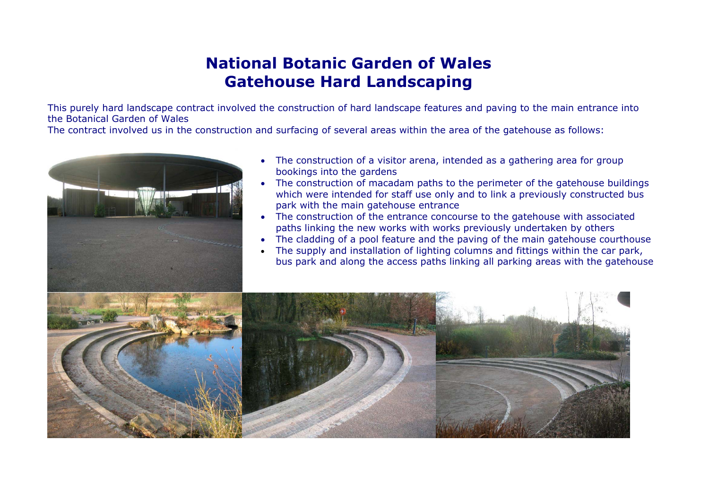# **National Botanic Garden of WalesGatehouse Hard Landscaping**

This purely hard landscape contract involved the construction of hard landscape features and paving to the main entrance into the Botanical Garden of Wales

The contract involved us in the construction and surfacing of several areas within the area of the gatehouse as follows:



- • The construction of a visitor arena, intended as a gathering area for group bookings into the gardens
- • The construction of macadam paths to the perimeter of the gatehouse buildings which were intended for staff use only and to link a previously constructed bus park with the main gatehouse entrance
- The construction of the entrance concourse to the gatehouse with associated paths linking the new works with works previously undertaken by others
- •The cladding of a pool feature and the paving of the main gatehouse courthouse
- • The supply and installation of lighting columns and fittings within the car park, bus park and along the access paths linking all parking areas with the gatehouse

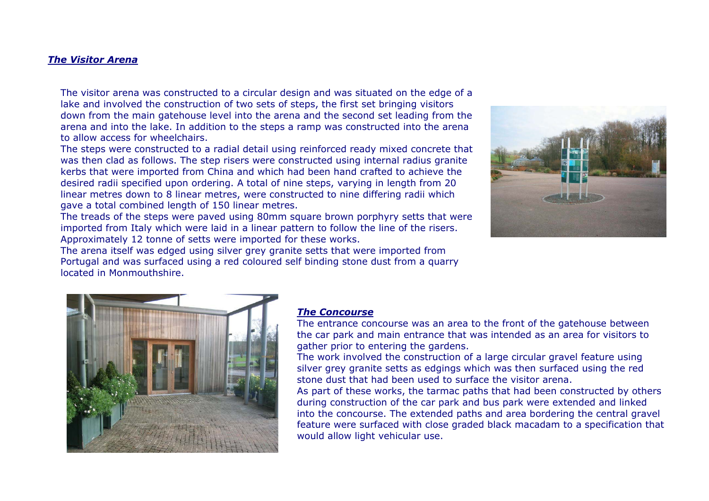#### *The Visitor Arena*

The visitor arena was constructed to a circular design and was situated on the edge of a lake and involved the construction of two sets of steps, the first set bringing visitors down from the main gatehouse level into the arena and the second set leading from the arena and into the lake. In addition to the steps a ramp was constructed into the arena to allow access for wheelchairs.

The steps were constructed to a radial detail using reinforced ready mixed concrete that was then clad as follows. The step risers were constructed using internal radius granite kerbs that were imported from China and which had been hand crafted to achieve the desired radii specified upon ordering. A total of nine steps, varying in length from 20 linear metres down to 8 linear metres, were constructed to nine differing radii which gave a total combined length of 150 linear metres.

The treads of the steps were paved using 80mm square brown porphyry setts that were imported from Italy which were laid in a linear pattern to follow the line of the risers. Approximately 12 tonne of setts were imported for these works.



The arena itself was edged using silver grey granite setts that were imported from Portugal and was surfaced using a red coloured self binding stone dust from a quarry located in Monmouthshire.



### *The Concourse*

The entrance concourse was an area to the front of the gatehouse between the car park and main entrance that was intended as an area for visitors to gather prior to entering the gardens.

The work involved the construction of a large circular gravel feature using silver grey granite setts as edgings which was then surfaced using the red stone dust that had been used to surface the visitor arena.

As part of these works, the tarmac paths that had been constructed by others during construction of the car park and bus park were extended and linked into the concourse. The extended paths and area bordering the central gravel feature were surfaced with close graded black macadam to a specification that would allow light vehicular use.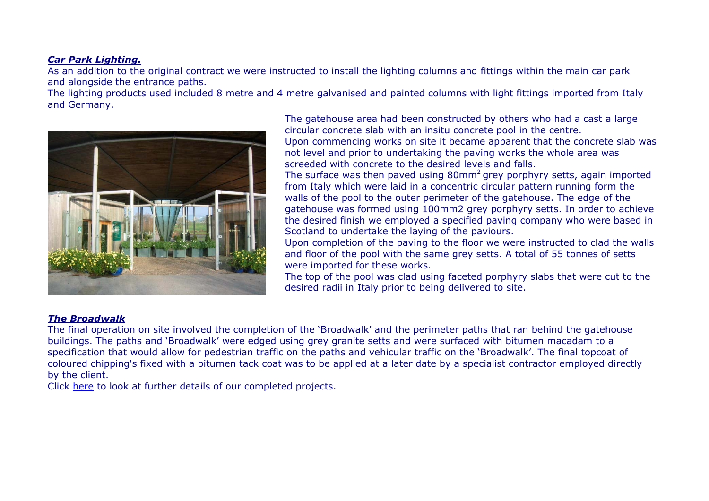## *Car Park Lighting.*

As an addition to the original contract we were instructed to install the lighting columns and fittings within the main car park and alongside the entrance paths.

The lighting products used included 8 metre and 4 metre galvanised and painted columns with light fittings imported from Italy and Germany.



The gatehouse area had been constructed by others who had a cast a large circular concrete slab with an insitu concrete pool in the centre. Upon commencing works on site it became apparent that the concrete slab was

not level and prior to undertaking the paving works the whole area was screeded with concrete to the desired levels and falls.

The surface was then paved using  $80$ mm<sup>2</sup> grey porphyry setts, again imported from Italy which were laid in a concentric circular pattern running form the walls of the pool to the outer perimeter of the gatehouse. The edge of the gatehouse was formed using 100mm2 grey porphyry setts. In order to achieve the desired finish we employed a specified paving company who were based in Scotland to undertake the laying of the paviours.

Upon completion of the paving to the floor we were instructed to clad the walls and floor of the pool with the same grey setts. A total of 55 tonnes of setts were imported for these works.

The top of the pool was clad using faceted porphyry slabs that were cut to the desired radii in Italy prior to being delivered to site.

## *The Broadwalk*

The final operation on site involved the completion of the 'Broadwalk' and the perimeter paths that ran behind the gatehouse buildings. The paths and 'Broadwalk' were edged using grey granite setts and were surfaced with bitumen macadam to a specification that would allow for pedestrian traffic on the paths and vehicular traffic on the 'Broadwalk'. The final topcoat of coloured chipping's fixed with a bitumen tack coat was to be applied at a later date by a specialist contractor employed directly by the client.

Click here to look at further details of our completed projects.